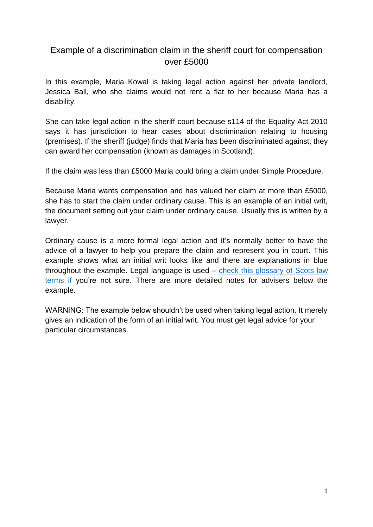# Example of a discrimination claim in the sheriff court for compensation over £5000

In this example, Maria Kowal is taking legal action against her private landlord, Jessica Ball, who she claims would not rent a flat to her because Maria has a disability.

She can take legal action in the sheriff court because s114 of the Equality Act 2010 says it has jurisdiction to hear cases about discrimination relating to housing (premises). If the sheriff (judge) finds that Maria has been discriminated against, they can award her compensation (known as damages in Scotland).

If the claim was less than £5000 Maria could bring a claim under Simple Procedure.

Because Maria wants compensation and has valued her claim at more than £5000, she has to start the claim under ordinary cause. This is an example of an initial writ, the document setting out your claim under ordinary cause. Usually this is written by a lawyer.

Ordinary cause is a more formal legal action and it's normally better to have the advice of a lawyer to help you prepare the claim and represent you in court. This example shows what an initial writ looks like and there are explanations in blue throughout the example. Legal language is used – [check this glossary of Scots law](http://www.scotland-judiciary.org.uk/29/0/Glossary/a#I)  [terms if](http://www.scotland-judiciary.org.uk/29/0/Glossary/a#I) you're not sure. There are more detailed notes for advisers below the example.

WARNING: The example below shouldn't be used when taking legal action. It merely gives an indication of the form of an initial writ. You must get legal advice for your particular circumstances.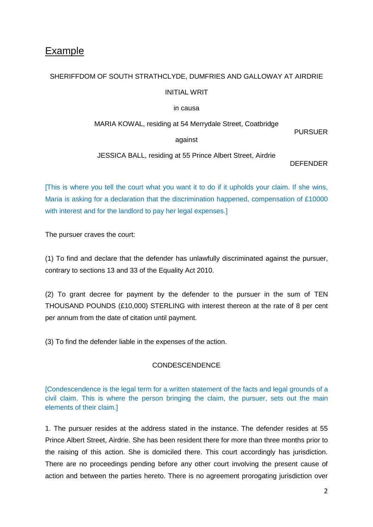# Example

### SHERIFFDOM OF SOUTH STRATHCLYDE, DUMFRIES AND GALLOWAY AT AIRDRIE

#### INITIAL WRIT

#### in causa

### MARIA KOWAL, residing at 54 Merrydale Street, Coatbridge

against

PURSUER

JESSICA BALL, residing at 55 Prince Albert Street, Airdrie

#### DEFENDER

[This is where you tell the court what you want it to do if it upholds your claim. If she wins, Maria is asking for a declaration that the discrimination happened, compensation of £10000 with interest and for the landlord to pay her legal expenses.]

The pursuer craves the court:

(1) To find and declare that the defender has unlawfully discriminated against the pursuer, contrary to sections 13 and 33 of the Equality Act 2010.

(2) To grant decree for payment by the defender to the pursuer in the sum of TEN THOUSAND POUNDS (£10,000) STERLING with interest thereon at the rate of 8 per cent per annum from the date of citation until payment.

(3) To find the defender liable in the expenses of the action.

## CONDESCENDENCE

[Condescendence is the legal term for a written statement of the facts and legal grounds of a civil claim. This is where the person bringing the claim, the pursuer, sets out the main elements of their claim.]

1. The pursuer resides at the address stated in the instance. The defender resides at 55 Prince Albert Street, Airdrie. She has been resident there for more than three months prior to the raising of this action. She is domiciled there. This court accordingly has jurisdiction. There are no proceedings pending before any other court involving the present cause of action and between the parties hereto. There is no agreement prorogating jurisdiction over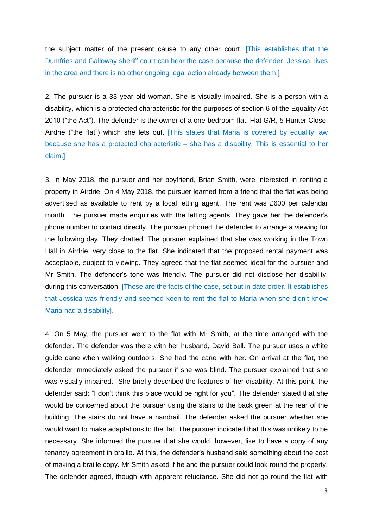the subject matter of the present cause to any other court. [This establishes that the Dumfries and Galloway sheriff court can hear the case because the defender, Jessica, lives in the area and there is no other ongoing legal action already between them.]

2. The pursuer is a 33 year old woman. She is visually impaired. She is a person with a disability, which is a protected characteristic for the purposes of section 6 of the Equality Act 2010 ("the Act"). The defender is the owner of a one-bedroom flat, Flat G/R, 5 Hunter Close, Airdrie ("the flat") which she lets out. [This states that Maria is covered by equality law because she has a protected characteristic – she has a disability. This is essential to her claim.]

3. In May 2018, the pursuer and her boyfriend, Brian Smith, were interested in renting a property in Airdrie. On 4 May 2018, the pursuer learned from a friend that the flat was being advertised as available to rent by a local letting agent. The rent was £600 per calendar month. The pursuer made enquiries with the letting agents. They gave her the defender's phone number to contact directly. The pursuer phoned the defender to arrange a viewing for the following day. They chatted. The pursuer explained that she was working in the Town Hall in Airdrie, very close to the flat. She indicated that the proposed rental payment was acceptable, subject to viewing. They agreed that the flat seemed ideal for the pursuer and Mr Smith. The defender's tone was friendly. The pursuer did not disclose her disability, during this conversation. [These are the facts of the case, set out in date order. It establishes that Jessica was friendly and seemed keen to rent the flat to Maria when she didn't know Maria had a disability].

4. On 5 May, the pursuer went to the flat with Mr Smith, at the time arranged with the defender. The defender was there with her husband, David Ball. The pursuer uses a white guide cane when walking outdoors. She had the cane with her. On arrival at the flat, the defender immediately asked the pursuer if she was blind. The pursuer explained that she was visually impaired. She briefly described the features of her disability. At this point, the defender said: "I don't think this place would be right for you". The defender stated that she would be concerned about the pursuer using the stairs to the back green at the rear of the building. The stairs do not have a handrail. The defender asked the pursuer whether she would want to make adaptations to the flat. The pursuer indicated that this was unlikely to be necessary. She informed the pursuer that she would, however, like to have a copy of any tenancy agreement in braille. At this, the defender's husband said something about the cost of making a braille copy. Mr Smith asked if he and the pursuer could look round the property. The defender agreed, though with apparent reluctance. She did not go round the flat with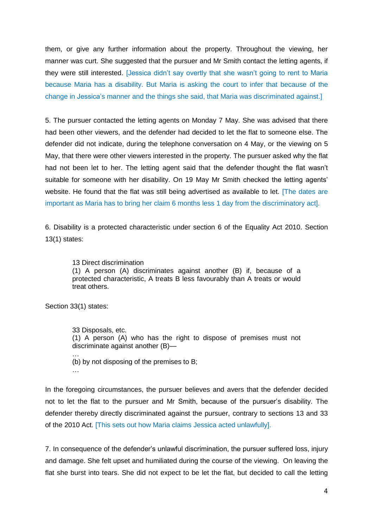them, or give any further information about the property. Throughout the viewing, her manner was curt. She suggested that the pursuer and Mr Smith contact the letting agents, if they were still interested. [Jessica didn't say overtly that she wasn't going to rent to Maria because Maria has a disability. But Maria is asking the court to infer that because of the change in Jessica's manner and the things she said, that Maria was discriminated against.]

5. The pursuer contacted the letting agents on Monday 7 May. She was advised that there had been other viewers, and the defender had decided to let the flat to someone else. The defender did not indicate, during the telephone conversation on 4 May, or the viewing on 5 May, that there were other viewers interested in the property. The pursuer asked why the flat had not been let to her. The letting agent said that the defender thought the flat wasn't suitable for someone with her disability. On 19 May Mr Smith checked the letting agents' website. He found that the flat was still being advertised as available to let. [The dates are important as Maria has to bring her claim 6 months less 1 day from the discriminatory act].

6. Disability is a protected characteristic under section 6 of the Equality Act 2010. Section 13(1) states:

13 Direct discrimination (1) A person (A) discriminates against another (B) if, because of a protected characteristic, A treats B less favourably than A treats or would treat others.

Section 33(1) states:

33 Disposals, etc. (1) A person (A) who has the right to dispose of premises must not discriminate against another (B)— … (b) by not disposing of the premises to B; …

In the foregoing circumstances, the pursuer believes and avers that the defender decided not to let the flat to the pursuer and Mr Smith, because of the pursuer's disability. The defender thereby directly discriminated against the pursuer, contrary to sections 13 and 33 of the 2010 Act. [This sets out how Maria claims Jessica acted unlawfully].

7. In consequence of the defender's unlawful discrimination, the pursuer suffered loss, injury and damage. She felt upset and humiliated during the course of the viewing. On leaving the flat she burst into tears. She did not expect to be let the flat, but decided to call the letting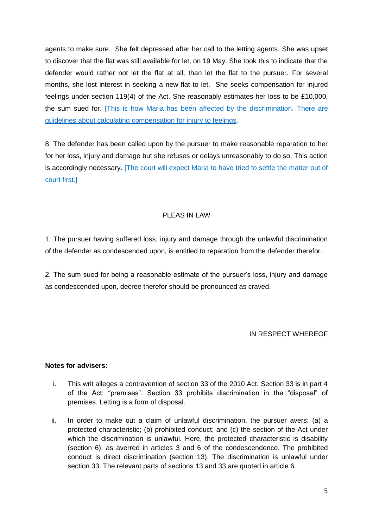agents to make sure. She felt depressed after her call to the letting agents. She was upset to discover that the flat was still available for let, on 19 May. She took this to indicate that the defender would rather not let the flat at all, than let the flat to the pursuer. For several months, she lost interest in seeking a new flat to let. She seeks compensation for injured feelings under section 119(4) of the Act. She reasonably estimates her loss to be £10,000, the sum sued for. [This is how Maria has been affected by the discrimination. There are [guidelines about calculating compensation for injury to feelings.](https://www.equalityhumanrights.com/sites/default/files/quantification-of-claims-guidance.pdf)

8. The defender has been called upon by the pursuer to make reasonable reparation to her for her loss, injury and damage but she refuses or delays unreasonably to do so. This action is accordingly necessary. [The court will expect Maria to have tried to settle the matter out of court first.]

#### PLEAS IN LAW

1. The pursuer having suffered loss, injury and damage through the unlawful discrimination of the defender as condescended upon, is entitled to reparation from the defender therefor.

2. The sum sued for being a reasonable estimate of the pursuer's loss, injury and damage as condescended upon, decree therefor should be pronounced as craved.

#### IN RESPECT WHEREOF

#### **Notes for advisers:**

- i. This writ alleges a contravention of section 33 of the 2010 Act. Section 33 is in part 4 of the Act: "premises". Section 33 prohibits discrimination in the "disposal" of premises. Letting is a form of disposal.
- ii. In order to make out a claim of unlawful discrimination, the pursuer avers: (a) a protected characteristic; (b) prohibited conduct; and (c) the section of the Act under which the discrimination is unlawful. Here, the protected characteristic is disability (section 6), as averred in articles 3 and 6 of the condescendence. The prohibited conduct is direct discrimination (section 13). The discrimination is unlawful under section 33. The relevant parts of sections 13 and 33 are quoted in article 6.